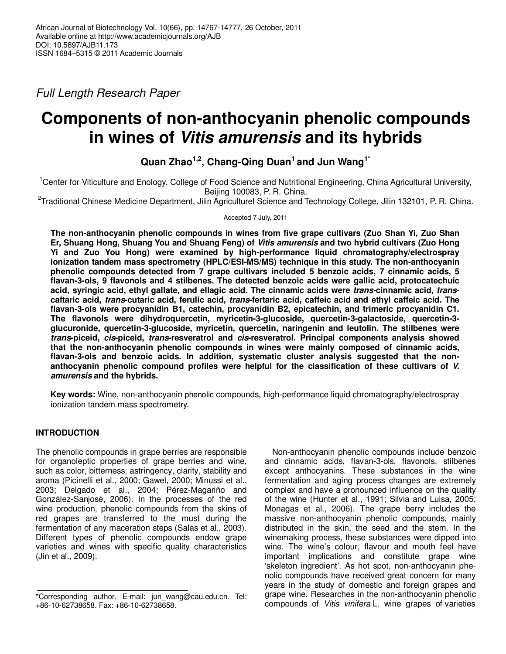Full Length Research Paper

# **Components of non-anthocyanin phenolic compounds in wines of Vitis amurensis and its hybrids**

**Quan Zhao1,2, Chang-Qing Duan<sup>1</sup>and Jun Wang1\***

<sup>1</sup>Center for Viticulture and Enology, College of Food Science and Nutritional Engineering, China Agricultural University, Beijing 100083, P. R. China.

<sup>2</sup>Traditional Chinese Medicine Department, Jilin Agriculturel Science and Technology College, Jilin 132101, P. R. China.

Accepted 7 July, 2011

**The non-anthocyanin phenolic compounds in wines from five grape cultivars (Zuo Shan Yi, Zuo Shan Er, Shuang Hong, Shuang You and Shuang Feng) of Vitis amurensis and two hybrid cultivars (Zuo Hong Yi and Zuo You Hong) were examined by high-performance liquid chromatography/electrospray ionization tandem mass spectrometry (HPLC/ESI-MS/MS) technique in this study. The non-anthocyanin phenolic compounds detected from 7 grape cultivars included 5 benzoic acids, 7 cinnamic acids, 5 flavan-3-ols, 9 flavonols and 4 stilbenes. The detected benzoic acids were gallic acid, protocatechuic acid, syringic acid, ethyl gallate, and ellagic acid. The cinnamic acids were trans-cinnamic acid, transcaftaric acid, trans-cutaric acid, ferulic acid, trans-fertaric acid, caffeic acid and ethyl caffeic acid. The flavan-3-ols were procyanidin B1, catechin, procyanidin B2, epicatechin, and trimeric procyanidin C1. The flavonols were dihydroquercetin, myricetin-3-glucoside, quercetin-3-galactoside, quercetin-3 glucuronide, quercetin-3-glucoside, myricetin, quercetin, naringenin and leutolin. The stilbenes were trans-piceid, cis-piceid, trans-resveratrol and cis-resveratrol. Principal components analysis showed that the non-anthocyanin phenolic compounds in wines were mainly composed of cinnamic acids, flavan-3-ols and benzoic acids. In addition, systematic cluster analysis suggested that the nonanthocyanin phenolic compound profiles were helpful for the classification of these cultivars of V. amurensis and the hybrids.** 

**Key words:** Wine, non-anthocyanin phenolic compounds, high-performance liquid chromatography/electrospray ionization tandem mass spectrometry.

# **INTRODUCTION**

The phenolic compounds in grape berries are responsible for organoleptic properties of grape berries and wine, such as color, bitterness, astringency, clarity, stability and aroma (Picinelli et al., 2000; Gawel, 2000; Minussi et al., 2003; Delgado et al., 2004; Pérez-Magariño and González-Sanjosé, 2006). In the processes of the red wine production, phenolic compounds from the skins of red grapes are transferred to the must during the fermentation of any maceration steps (Salas et al., 2003). Different types of phenolic compounds endow grape varieties and wines with specific quality characteristics (Jin et al., 2009).

Non-anthocyanin phenolic compounds include benzoic and cinnamic acids, flavan-3-ols, flavonols, stilbenes except anthocyanins. These substances in the wine fermentation and aging process changes are extremely complex and have a pronounced influence on the quality of the wine (Hunter et al., 1991; Silvia and Luisa, 2005; Monagas et al., 2006). The grape berry includes the massive non-anthocyanin phenolic compounds, mainly distributed in the skin, the seed and the stem. In the winemaking process, these substances were dipped into wine. The wine's colour, flavour and mouth feel have important implications and constitute grape wine 'skeleton ingredient'. As hot spot, non-anthocyanin phenolic compounds have received great concern for many years in the study of domestic and foreign grapes and grape wine. Researches in the non-anthocyanin phenolic compounds of Vitis vinifera L. wine grapes of varieties

<sup>\*</sup>Corresponding author. E-mail: jun\_wang@cau.edu.cn. Tel: +86-10-62738658. Fax: +86-10-62738658.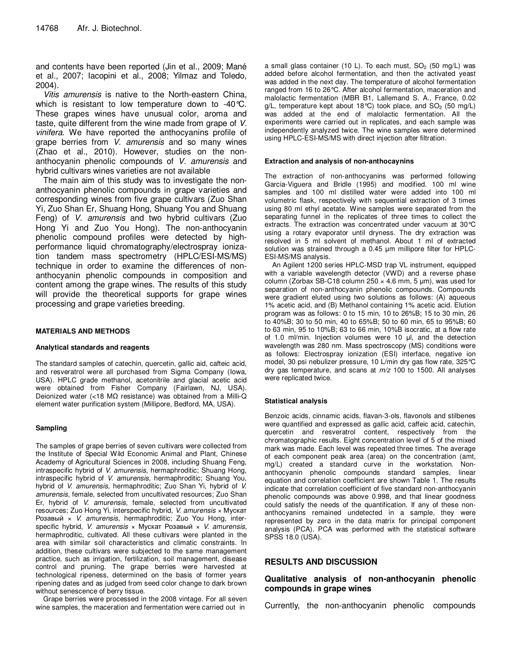and contents have been reported (Jin et al., 2009; Mané et al., 2007; Iacopini et al., 2008; Yilmaz and Toledo, 2004).

Vitis amurensis is native to the North-eastern China, which is resistant to low temperature down to -40°C. These grapes wines have unusual color, aroma and taste, quite different from the wine made from grape of V. vinifera. We have reported the anthocyanins profile of grape berries from *V. amurensis* and so many wines (Zhao et al., 2010). However, studies on the nonanthocyanin phenolic compounds of V. amurensis and hybrid cultivars wines varieties are not available

The main aim of this study was to investigate the nonanthocyanin phenolic compounds in grape varieties and corresponding wines from five grape cultivars (Zuo Shan Yi, Zuo Shan Er, Shuang Hong, Shuang You and Shuang Feng) of V. amurensis and two hybrid cultivars (Zuo Hong Yi and Zuo You Hong). The non-anthocyanin phenolic compound profiles were detected by highperformance liquid chromatography/electrospray ionization tandem mass spectrometry (HPLC/ESI-MS/MS) technique in order to examine the differences of nonanthocyanin phenolic compounds in composition and content among the grape wines. The results of this study will provide the theoretical supports for grape wines processing and grape varieties breeding.

#### **MATERIALS AND METHODS**

#### **Analytical standards and reagents**

The standard samples of catechin, quercetin, gallic aid, cafteic acid, and resveratrol were all purchased from Sigma Company (Iowa, USA). HPLC grade methanol, acetonitrile and glacial acetic acid were obtained from Fisher Company (Fairlawn, NJ, USA). Deionized water (<18 MΩ resistance) was obtained from a Milli-Q element water purification system (Millipore, Bedford, MA, USA).

#### **Sampling**

The samples of grape berries of seven cultivars were collected from the Institute of Special Wild Economic Animal and Plant, Chinese Academy of Agricultural Sciences in 2008, including Shuang Feng, intraspecific hybrid of V. amurensis, hermaphroditic; Shuang Hong, intraspecific hybrid of V. amurensis, hermaphroditic; Shuang You, hybrid of V. amurensis, hermaphroditic; Zuo Shan Yi, hybrid of V. amurensis, female, selected from uncultivated resources; Zuo Shan Er, hybrid of V. amurensis, female, selected from uncultivated resources; Zuo Hong Yi, interspecific hybrid, V. amurensis × Мускат Розавый × V. amurensis, hermaphroditic; Zuo You Hong, interspecific hybrid, *V. amurensis*  $\times$  Мускат Розавый  $\times$  *V. amurensis*, hermaphroditic, cultivated. All these cultivars were planted in the area with similar soil characteristics and climatic constraints. In addition, these cultivars were subjected to the same management practice, such as irrigation, fertilization, soil management, disease control and pruning. The grape berries were harvested at technological ripeness, determined on the basis of former years ripening dates and as judged from seed color change to dark brown without senescence of berry tissue.

Grape berries were processed in the 2008 vintage. For all seven wine samples, the maceration and fermentation were carried out in

a small glass container (10 L). To each must,  $SO<sub>2</sub>$  (50 mg/L) was added before alcohol fermentation, and then the activated yeast was added in the next day. The temperature of alcohol fermentation ranged from 16 to 26°C. After alcohol fermentation, maceration and malolactic fermentation (MBR B1, Lallemand S. A., France, 0.02 g/L, temperature kept about 18°C) took place, and  $SO<sub>2</sub>$  (50 mg/L) was added at the end of malolactic fermentation. All the experiments were carried out in replicates, and each sample was independently analyzed twice. The wine samples were determined using HPLC-ESI-MS/MS with direct injection after filtration.

#### **Extraction and analysis of non-anthocaynins**

The extraction of non-anthocyanins was performed following Garcia-Viguera and Bridle (1995) and modified. 100 ml wine samples and 100 ml distilled water were added into 100 ml volumetric flask, respectively with sequential extraction of 3 times using 80 ml ethyl acetate. Wine samples were separated from the separating funnel in the replicates of three times to collect the extracts. The extraction was concentrated under vacuum at 30°C using a rotary evaporator until dryness. The dry extraction was resolved in 5 ml solvent of methanol. About 1 ml of extracted solution was strained through a 0.45 um millipore filter for HPLC-ESI-MS/MS analysis.

An Agilent 1200 series HPLC-MSD trap VL instrument, equipped with a variable wavelength detector (VWD) and a reverse phase column (Zorbax SB-C18 column 250  $\times$  4.6 mm, 5 µm), was used for separation of non-anthocyanin phenolic compounds. Compounds were gradient eluted using two solutions as follows: (A) aqueous 1% acetic acid, and (B) Methanol containing 1% acetic acid. Elution program was as follows: 0 to 15 min, 10 to 26%B; 15 to 30 min, 26 to 40%B; 30 to 50 min, 40 to 65%B; 50 to 60 min, 65 to 95%B; 60 to 63 min, 95 to 10%B; 63 to 66 min, 10%B isocratic, at a flow rate of 1.0 ml/min. Injection volumes were 10 µl, and the detection wavelength was 280 nm. Mass spectroscopy (MS) conditions were as follows: Electrospray ionization (ESI) interface, negative ion model, 30 psi nebulizer pressure, 10 L/min dry gas flow rate, 325°C dry gas temperature, and scans at  $m/z$  100 to 1500. All analyses were replicated twice.

#### **Statistical analysis**

Benzoic acids, cinnamic acids, flavan-3-ols, flavonols and stilbenes were quantified and expressed as gallic acid, caffeic acid, catechin, quercetin and resveratrol content, respectively from the chromatographic results. Eight concentration level of 5 of the mixed mark was made. Each level was repeated three times. The average of each component peak area (area) on the concentration (amt, mg/L) created a standard curve in the workstation. Nonanthocyanin phenolic compounds standard samples, linear equation and correlation coefficient are shown Table 1. The results indicate that correlation coefficient of five standard non-anthocyanin phenolic compounds was above 0.998, and that linear goodness could satisfy the needs of the quantification. If any of these nonanthocyanins remained undetected in a sample, they were represented by zero in the data matrix for principal component analysis (PCA). PCA was performed with the statistical software SPSS 18.0 (USA).

## **RESULTS AND DISCUSSION**

## **Qualitative analysis of non-anthocyanin phenolic compounds in grape wines**

Currently, the non-anthocyanin phenolic compounds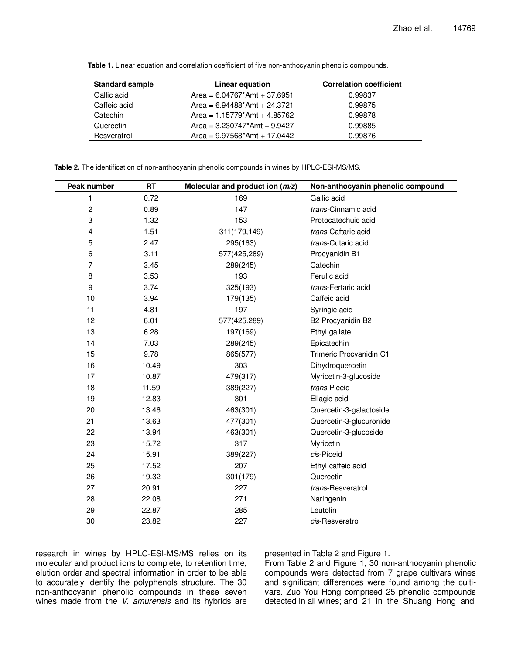| <b>Standard sample</b> | Linear equation                             | <b>Correlation coefficient</b> |  |
|------------------------|---------------------------------------------|--------------------------------|--|
| Gallic acid            | Area = $6.04767*$ Amt + 37.6951             | 0.99837                        |  |
| Caffeic acid           | Area = $6.94488^*$ Amt + 24.3721            | 0.99875                        |  |
| Catechin               | Area = $1.15779$ <sup>*</sup> Amt + 4.85762 | 0.99878                        |  |
| Quercetin              | Area = $3.230747$ *Amt + 9.9427             | 0.99885                        |  |
| Resveratrol            | Area = $9.97568*$ Amt + 17.0442             | 0.99876                        |  |

**Table 1.** Linear equation and correlation coefficient of five non-anthocyanin phenolic compounds.

**Table 2.** The identification of non-anthocyanin phenolic compounds in wines by HPLC-ESI-MS/MS.

| Peak number             | <b>RT</b> | Molecular and product ion $(m/z)$ | Non-anthocyanin phenolic compound |  |
|-------------------------|-----------|-----------------------------------|-----------------------------------|--|
| 1                       | 0.72      | 169                               | Gallic acid                       |  |
| $\overline{\mathbf{c}}$ | 0.89      | 147                               | trans-Cinnamic acid               |  |
| 3                       | 1.32      | 153                               | Protocatechuic acid               |  |
| 4                       | 1.51      | 311(179,149)                      | trans-Caftaric acid               |  |
| 5                       | 2.47      | 295(163)                          | trans-Cutaric acid                |  |
| 6                       | 3.11      | 577(425,289)                      | Procyanidin B1                    |  |
| $\overline{7}$          | 3.45      | 289(245)                          | Catechin                          |  |
| 8                       | 3.53      | 193                               | Ferulic acid                      |  |
| 9                       | 3.74      | 325(193)                          | trans-Fertaric acid               |  |
| 10                      | 3.94      | 179(135)                          | Caffeic acid                      |  |
| 11                      | 4.81      | 197                               | Syringic acid                     |  |
| 12                      | 6.01      | 577(425.289)                      | B2 Procyanidin B2                 |  |
| 13                      | 6.28      | 197(169)                          | Ethyl gallate                     |  |
| 14                      | 7.03      | 289(245)                          | Epicatechin                       |  |
| 15                      | 9.78      | 865(577)                          | Trimeric Procyanidin C1           |  |
| 16                      | 10.49     | 303                               | Dihydroquercetin                  |  |
| 17                      | 10.87     | 479(317)                          | Myricetin-3-glucoside             |  |
| 18                      | 11.59     | 389(227)                          | trans-Piceid                      |  |
| 19                      | 12.83     | 301                               | Ellagic acid                      |  |
| 20                      | 13.46     | 463(301)                          | Quercetin-3-galactoside           |  |
| 21                      | 13.63     | 477(301)                          | Quercetin-3-glucuronide           |  |
| 22                      | 13.94     | 463(301)                          | Quercetin-3-glucoside             |  |
| 23                      | 15.72     | 317                               | Myricetin                         |  |
| 24                      | 15.91     | 389(227)                          | cis-Piceid                        |  |
| 25                      | 17.52     | 207                               | Ethyl caffeic acid                |  |
| 26                      | 19.32     | 301(179)                          | Quercetin                         |  |
| 27                      | 20.91     | 227                               | trans-Resveratrol                 |  |
| 28                      | 22.08     | 271                               | Naringenin                        |  |
| 29                      | 22.87     | 285                               | Leutolin                          |  |
| 30                      | 23.82     | 227                               | cis-Resveratrol                   |  |

research in wines by HPLC-ESI-MS/MS relies on its molecular and product ions to complete, to retention time, elution order and spectral information in order to be able to accurately identify the polyphenols structure. The 30 non-anthocyanin phenolic compounds in these seven wines made from the *V. amurensis* and its hybrids are presented in Table 2 and Figure 1.

From Table 2 and Figure 1, 30 non-anthocyanin phenolic compounds were detected from 7 grape cultivars wines and significant differences were found among the cultivars. Zuo You Hong comprised 25 phenolic compounds detected in all wines; and 21 in the Shuang Hong and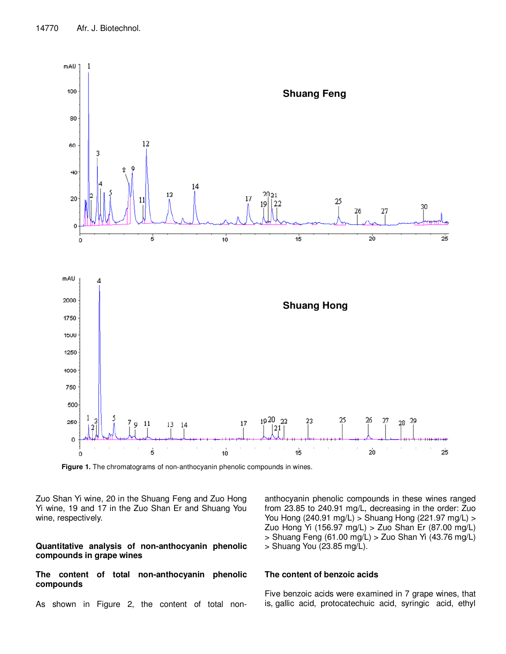

**Figure 1.** The chromatograms of non-anthocyanin phenolic compounds in wines.

Zuo Shan Yi wine, 20 in the Shuang Feng and Zuo Hong Yi wine, 19 and 17 in the Zuo Shan Er and Shuang You wine, respectively.

# **Quantitative analysis of non-anthocyanin phenolic compounds in grape wines**

# **The content of total non-anthocyanin phenolic compounds**

As shown in Figure 2, the content of total non-

anthocyanin phenolic compounds in these wines ranged from 23.85 to 240.91 mg/L, decreasing in the order: Zuo You Hong (240.91 mg/L) > Shuang Hong (221.97 mg/L) > Zuo Hong Yi (156.97 mg/L) > Zuo Shan Er (87.00 mg/L) > Shuang Feng (61.00 mg/L) > Zuo Shan Yi (43.76 mg/L) > Shuang You (23.85 mg/L).

## **The content of benzoic acids**

Five benzoic acids were examined in 7 grape wines, that is, gallic acid, protocatechuic acid, syringic acid, ethyl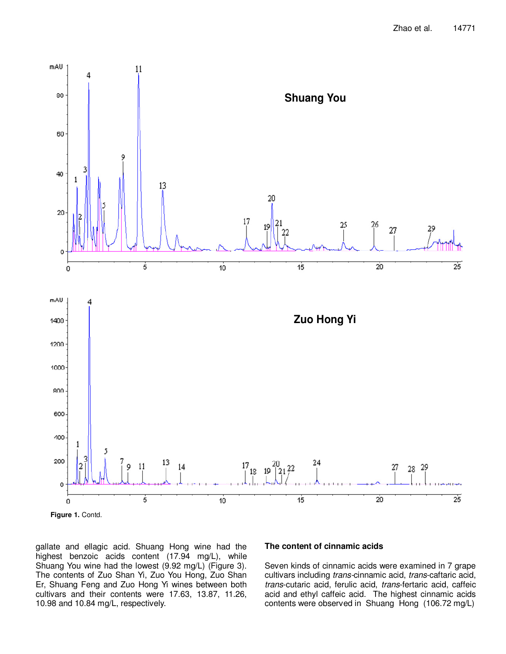

gallate and ellagic acid. Shuang Hong wine had the highest benzoic acids content (17.94 mg/L), while Shuang You wine had the lowest (9.92 mg/L) (Figure 3). The contents of Zuo Shan Yi, Zuo You Hong, Zuo Shan Er, Shuang Feng and Zuo Hong Yi wines between both cultivars and their contents were 17.63, 13.87, 11.26, 10.98 and 10.84 mg/L, respectively.

## **The content of cinnamic acids**

Seven kinds of cinnamic acids were examined in 7 grape cultivars including trans-cinnamic acid, trans-caftaric acid, trans-cutaric acid, ferulic acid, trans-fertaric acid, caffeic acid and ethyl caffeic acid. The highest cinnamic acids contents were observed in Shuang Hong (106.72 mg/L)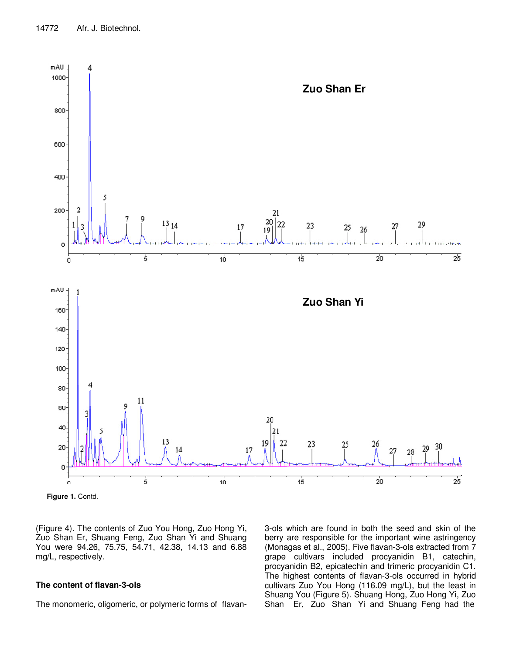

Figure 1. Contd.

(Figure 4). The contents of Zuo You Hong, Zuo Hong Yi, Zuo Shan Er, Shuang Feng, Zuo Shan Yi and Shuang You were 94.26, 75.75, 54.71, 42.38, 14.13 and 6.88 mg/L, respectively.

## **The content of flavan-3-ols**

The monomeric, oligomeric, or polymeric forms of flavan-

3-ols which are found in both the seed and skin of the berry are responsible for the important wine astringency (Monagas et al., 2005). Five flavan-3-ols extracted from 7 grape cultivars included procyanidin B1, catechin, procyanidin B2, epicatechin and trimeric procyanidin C1. The highest contents of flavan-3-ols occurred in hybrid cultivars Zuo You Hong (116.09 mg/L), but the least in Shuang You (Figure 5). Shuang Hong, Zuo Hong Yi, Zuo Shan Er, Zuo Shan Yi and Shuang Feng had the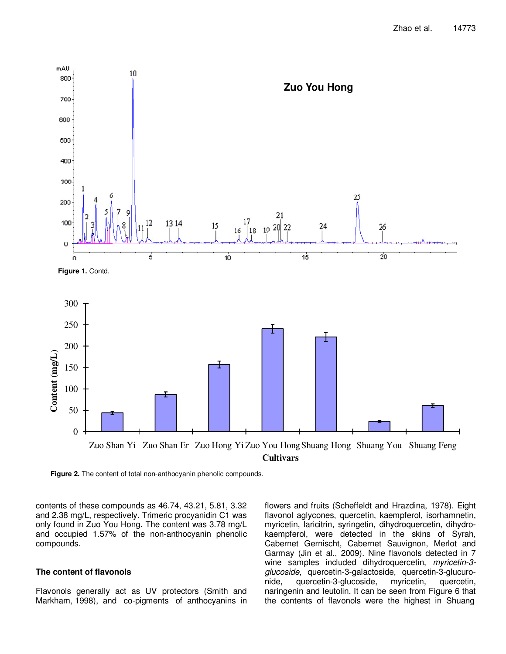

**Figure 2.** The content of total non-anthocyanin phenolic compounds.

contents of these compounds as 46.74, 43.21, 5.81, 3.32 and 2.38 mg/L, respectively. Trimeric procyanidin C1 was only found in Zuo You Hong. The content was 3.78 mg/L and occupied 1.57% of the non-anthocyanin phenolic compounds.

#### **The content of flavonols**

Flavonols generally act as UV protectors (Smith and Markham, 1998), and co-pigments of anthocyanins in flowers and fruits (Scheffeldt and Hrazdina, 1978). Eight flavonol aglycones, quercetin, kaempferol, isorhamnetin, myricetin, laricitrin, syringetin, dihydroquercetin, dihydrokaempferol, were detected in the skins of Syrah, Cabernet Gernischt, Cabernet Sauvignon, Merlot and Garmay (Jin et al., 2009). Nine flavonols detected in 7 wine samples included dihydroquercetin, myricetin-3glucoside, quercetin-3-galactoside, quercetin-3-glucuronide, quercetin-3-glucoside, myricetin, quercetin, naringenin and leutolin. It can be seen from Figure 6 that the contents of flavonols were the highest in Shuang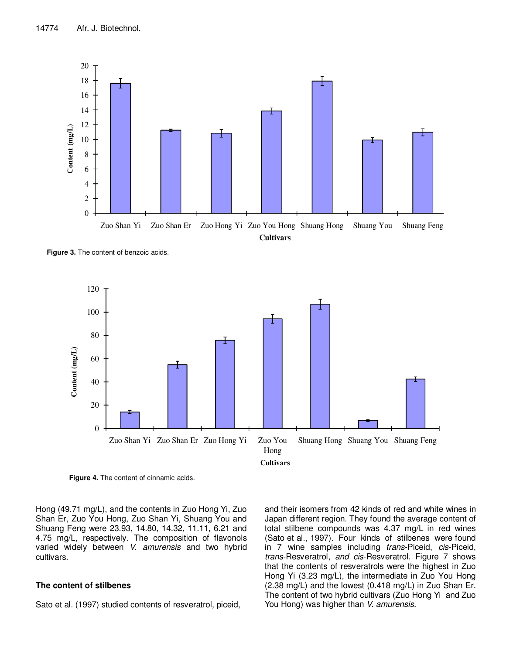![](_page_7_Figure_1.jpeg)

**Figure 3.** The content of benzoic acids.

![](_page_7_Figure_3.jpeg)

**Figure 4.** The content of cinnamic acids.

Hong (49.71 mg/L), and the contents in Zuo Hong Yi, Zuo Shan Er, Zuo You Hong, Zuo Shan Yi, Shuang You and Shuang Feng were 23.93, 14.80, 14.32, 11.11, 6.21 and 4.75 mg/L, respectively. The composition of flavonols varied widely between V. amurensis and two hybrid cultivars.

## **The content of stilbenes**

Sato et al. (1997) studied contents of resveratrol, piceid,

and their isomers from 42 kinds of red and white wines in Japan different region. They found the average content of total stilbene compounds was 4.37 mg/L in red wines (Sato et al., 1997). Four kinds of stilbenes were found in 7 wine samples including *trans*-Piceid, *cis-Piceid*, trans-Resveratrol, and cis-Resveratrol. Figure 7 shows that the contents of resveratrols were the highest in Zuo Hong Yi (3.23 mg/L), the intermediate in Zuo You Hong (2.38 mg/L) and the lowest (0.418 mg/L) in Zuo Shan Er. The content of two hybrid cultivars (Zuo Hong Yi and Zuo You Hong) was higher than V. amurensis.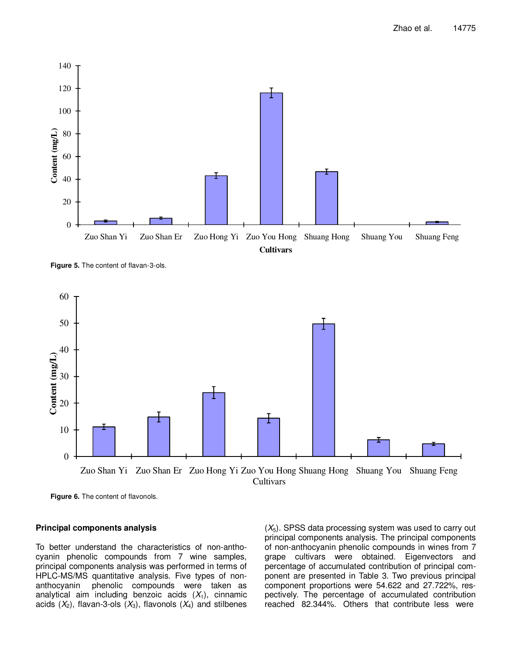![](_page_8_Figure_1.jpeg)

**Figure 5.** The content of flavan-3-ols.

![](_page_8_Figure_3.jpeg)

**Figure 6.** The content of flavonols.

#### **Principal components analysis**

To better understand the characteristics of non-anthocyanin phenolic compounds from 7 wine samples, principal components analysis was performed in terms of HPLC-MS/MS quantitative analysis. Five types of nonanthocyanin phenolic compounds were taken as analytical aim including benzoic acids  $(X_1)$ , cinnamic acids  $(X_2)$ , flavan-3-ols  $(X_3)$ , flavonols  $(X_4)$  and stilbenes

 $(X_5)$ . SPSS data processing system was used to carry out principal components analysis. The principal components of non-anthocyanin phenolic compounds in wines from 7 grape cultivars were obtained. Eigenvectors and percentage of accumulated contribution of principal component are presented in Table 3. Two previous principal component proportions were 54.622 and 27.722%, respectively. The percentage of accumulated contribution reached 82.344%. Others that contribute less were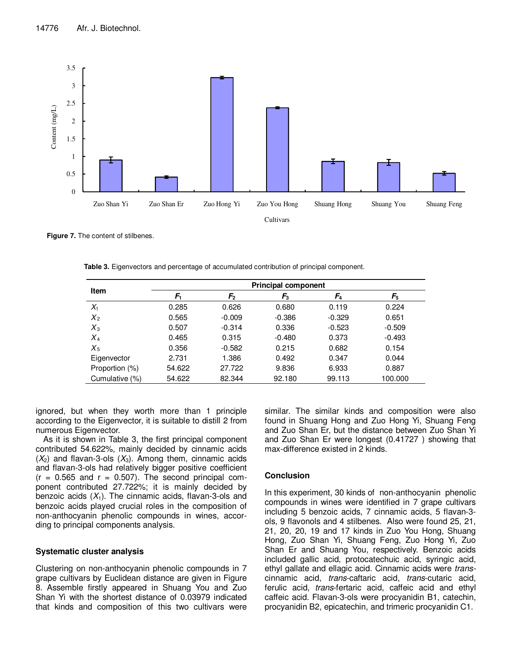![](_page_9_Figure_1.jpeg)

**Figure 7.** The content of stilbenes.

|  |  | Table 3. Eigenvectors and percentage of accumulated contribution of principal component. |
|--|--|------------------------------------------------------------------------------------------|
|  |  |                                                                                          |

| <b>Item</b>    | <b>Principal component</b> |               |          |          |          |  |
|----------------|----------------------------|---------------|----------|----------|----------|--|
|                | F.                         | $\mathsf F_2$ | $F_3$    | $F_4$    | F5       |  |
| $X_1$          | 0.285                      | 0.626         | 0.680    | 0.119    | 0.224    |  |
| $X_2$          | 0.565                      | $-0.009$      | $-0.386$ | $-0.329$ | 0.651    |  |
| $X_3$          | 0.507                      | $-0.314$      | 0.336    | $-0.523$ | $-0.509$ |  |
| $X_4$          | 0.465                      | 0.315         | $-0.480$ | 0.373    | $-0.493$ |  |
| $X_5$          | 0.356                      | $-0.582$      | 0.215    | 0.682    | 0.154    |  |
| Eigenvector    | 2.731                      | 1.386         | 0.492    | 0.347    | 0.044    |  |
| Proportion (%) | 54.622                     | 27.722        | 9.836    | 6.933    | 0.887    |  |
| Cumulative (%) | 54.622                     | 82.344        | 92.180   | 99.113   | 100.000  |  |

ignored, but when they worth more than 1 principle according to the Eigenvector, it is suitable to distill 2 from numerous Eigenvector.

As it is shown in Table 3, the first principal component contributed 54.622%, mainly decided by cinnamic acids  $(X_2)$  and flavan-3-ols  $(X_3)$ . Among them, cinnamic acids and flavan-3-ols had relatively bigger positive coefficient  $(r = 0.565$  and  $r = 0.507)$ . The second principal component contributed 27.722%; it is mainly decided by benzoic acids  $(X_1)$ . The cinnamic acids, flavan-3-ols and benzoic acids played crucial roles in the composition of non-anthocyanin phenolic compounds in wines, according to principal components analysis.

## **Systematic cluster analysis**

Clustering on non-anthocyanin phenolic compounds in 7 grape cultivars by Euclidean distance are given in Figure 8. Assemble firstly appeared in Shuang You and Zuo Shan Yi with the shortest distance of 0.03979 indicated that kinds and composition of this two cultivars were similar. The similar kinds and composition were also found in Shuang Hong and Zuo Hong Yi, Shuang Feng and Zuo Shan Er, but the distance between Zuo Shan Yi and Zuo Shan Er were longest (0.41727 ) showing that max-difference existed in 2 kinds.

## **Conclusion**

In this experiment, 30 kinds of non-anthocyanin phenolic compounds in wines were identified in 7 grape cultivars including 5 benzoic acids, 7 cinnamic acids, 5 flavan-3 ols, 9 flavonols and 4 stilbenes. Also were found 25, 21, 21, 20, 20, 19 and 17 kinds in Zuo You Hong, Shuang Hong, Zuo Shan Yi, Shuang Feng, Zuo Hong Yi, Zuo Shan Er and Shuang You, respectively. Benzoic acids included gallic acid, protocatechuic acid, syringic acid, ethyl gallate and ellagic acid. Cinnamic acids were transcinnamic acid, trans-caftaric acid, trans-cutaric acid, ferulic acid, trans-fertaric acid, caffeic acid and ethyl caffeic acid. Flavan-3-ols were procyanidin B1, catechin, procyanidin B2, epicatechin, and trimeric procyanidin C1.